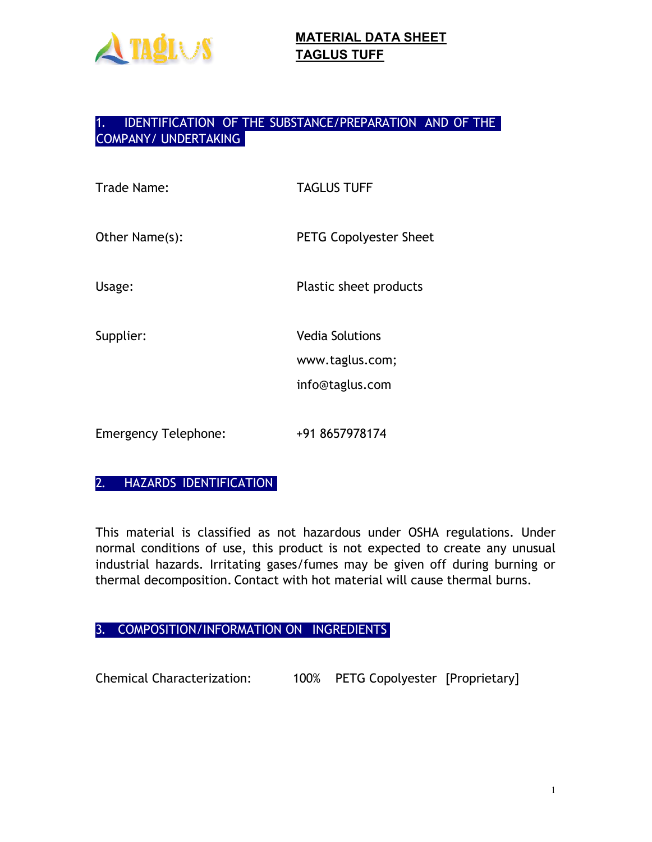

### 1. IDENTIFICATION OF THE SUBSTANCE/PREPARATION AND OF THE COMPANY/ UNDERTAKING

| Trade Name:                 | <b>TAGLUS TUFF</b>                                           |
|-----------------------------|--------------------------------------------------------------|
| Other Name(s):              | <b>PETG Copolyester Sheet</b>                                |
| Usage:                      | Plastic sheet products                                       |
| Supplier:                   | <b>Vedia Solutions</b><br>www.taglus.com;<br>info@taglus.com |
| <b>Emergency Telephone:</b> | +91 8657978174                                               |

### 2. HAZARDS IDENTIFICATION

This material is classified as not hazardous under OSHA regulations. Under normal conditions of use, this product is not expected to create any unusual industrial hazards. Irritating gases/fumes may be given off during burning or thermal decomposition. Contact with hot material will cause thermal burns.

3. COMPOSITION/INFORMATION ON INGREDIENTS

Chemical Characterization: 100% PETG Copolyester [Proprietary]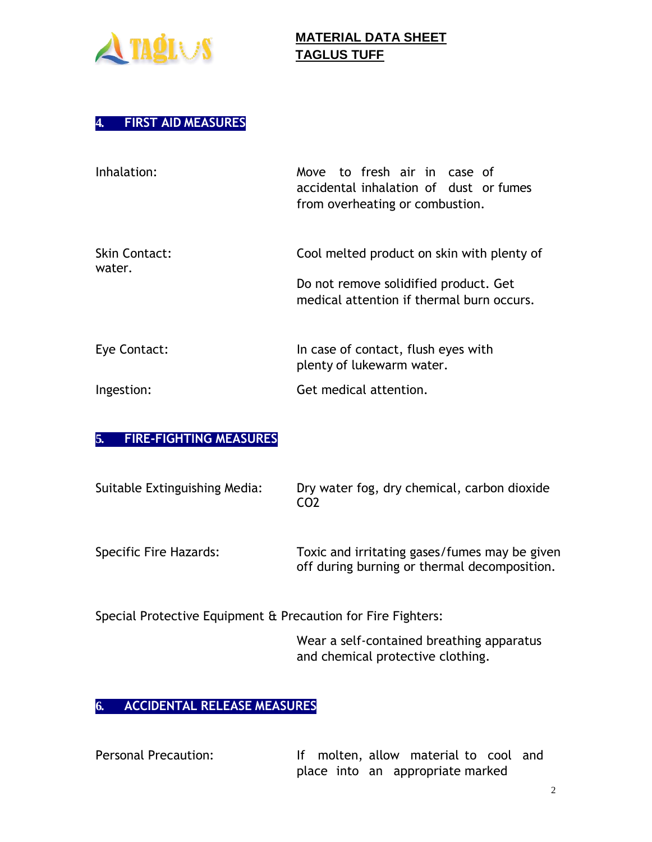

water.

## **MATERIAL DATA SHEET TAGLUS TUFF**

#### **4. FIRST AID MEASURES**

| Inhalation:   | Move to fresh air in case of<br>accidental inhalation of dust or fumes<br>from overheating or combustion. |
|---------------|-----------------------------------------------------------------------------------------------------------|
| Skin Contact: | Cool melted product on skin with plenty of                                                                |

Do not remove solidified product. Get medical attention if thermal burn occurs.

| Eye Contact: | In case of contact, flush eyes with |
|--------------|-------------------------------------|
|              | plenty of lukewarm water.           |
| Ingestion:   | Get medical attention.              |

### **5. FIRE-FIGHTING MEASURES**

| Suitable Extinguishing Media: | Dry water fog, dry chemical, carbon dioxide<br>CO <sub>2</sub>                                |
|-------------------------------|-----------------------------------------------------------------------------------------------|
| Specific Fire Hazards:        | Toxic and irritating gases/fumes may be given<br>off during burning or thermal decomposition. |

Special Protective Equipment & Precaution for Fire Fighters:

Wear a self-contained breathing apparatus and chemical protective clothing.

### **6. ACCIDENTAL RELEASE MEASURES**

| <b>Personal Precaution:</b> |  |  | If molten, allow material to cool and |  |  |
|-----------------------------|--|--|---------------------------------------|--|--|
|                             |  |  | place into an appropriate marked      |  |  |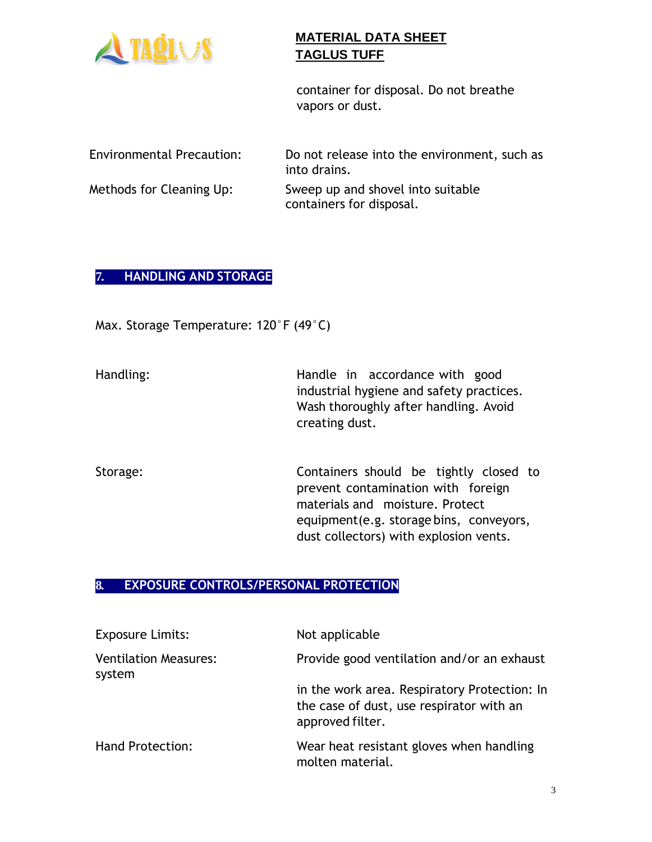

container for disposal. Do not breathe vapors or dust.

| <b>Environmental Precaution:</b> | Do not release into the environment, such as<br>into drains.  |
|----------------------------------|---------------------------------------------------------------|
| Methods for Cleaning Up:         | Sweep up and shovel into suitable<br>containers for disposal. |

### **7. HANDLING AND STORAGE**

Max. Storage Temperature: 120°F (49°C)

| Handling: | Handle in accordance with good           |
|-----------|------------------------------------------|
|           | industrial hygiene and safety practices. |
|           | Wash thoroughly after handling. Avoid    |
|           | creating dust.                           |

Storage: Containers should be tightly closed to prevent contamination with foreign materials and moisture. Protect equipment(e.g. storage bins, conveyors, dust collectors) with explosion vents.

### **8. EXPOSURE CONTROLS/PERSONAL PROTECTION**

| <b>Exposure Limits:</b>                | Not applicable                                                                                               |
|----------------------------------------|--------------------------------------------------------------------------------------------------------------|
| <b>Ventilation Measures:</b><br>system | Provide good ventilation and/or an exhaust                                                                   |
|                                        | in the work area. Respiratory Protection: In<br>the case of dust, use respirator with an<br>approved filter. |
| <b>Hand Protection:</b>                | Wear heat resistant gloves when handling<br>molten material.                                                 |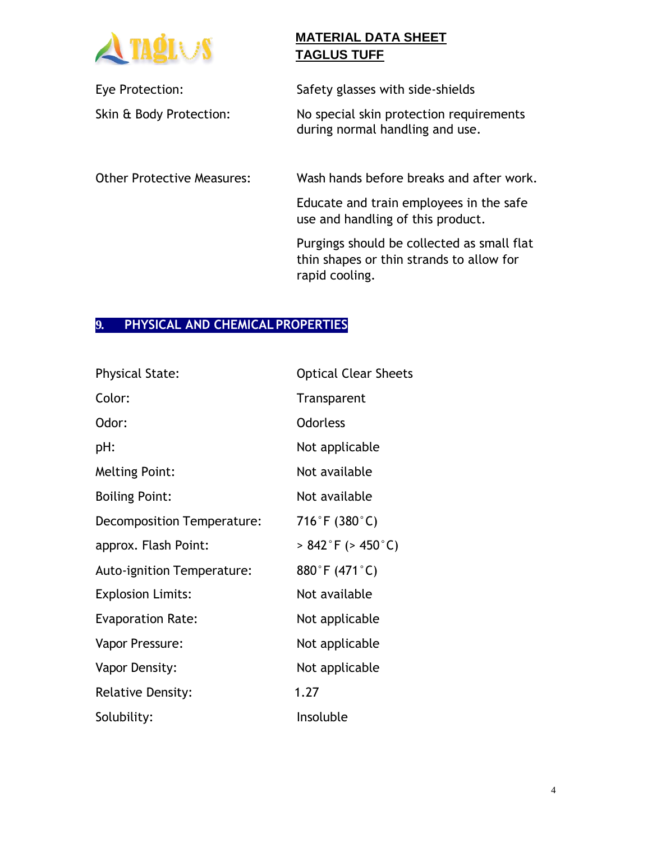

Eye Protection: Safety glasses with side-shields

Skin & Body Protection: No special skin protection requirements during normal handling and use.

Other Protective Measures: Wash hands before breaks and after work.

Educate and train employees in the safe use and handling of this product.

Purgings should be collected as small flat thin shapes or thin strands to allow for rapid cooling.

### **9. PHYSICAL AND CHEMICALPROPERTIES**

| <b>Physical State:</b>            | <b>Optical Clear Sheets</b> |
|-----------------------------------|-----------------------------|
| Color:                            | Transparent                 |
| Odor:                             | <b>Odorless</b>             |
| pH:                               | Not applicable              |
| <b>Melting Point:</b>             | Not available               |
| <b>Boiling Point:</b>             | Not available               |
| Decomposition Temperature:        | 716°F (380°C)               |
| approx. Flash Point:              | $> 842$ °F ( $> 450$ °C)    |
| <b>Auto-ignition Temperature:</b> | 880°F (471°C)               |
| <b>Explosion Limits:</b>          | Not available               |
| <b>Evaporation Rate:</b>          | Not applicable              |
| Vapor Pressure:                   | Not applicable              |
| Vapor Density:                    | Not applicable              |
| <b>Relative Density:</b>          | 1.27                        |
| Solubility:                       | Insoluble                   |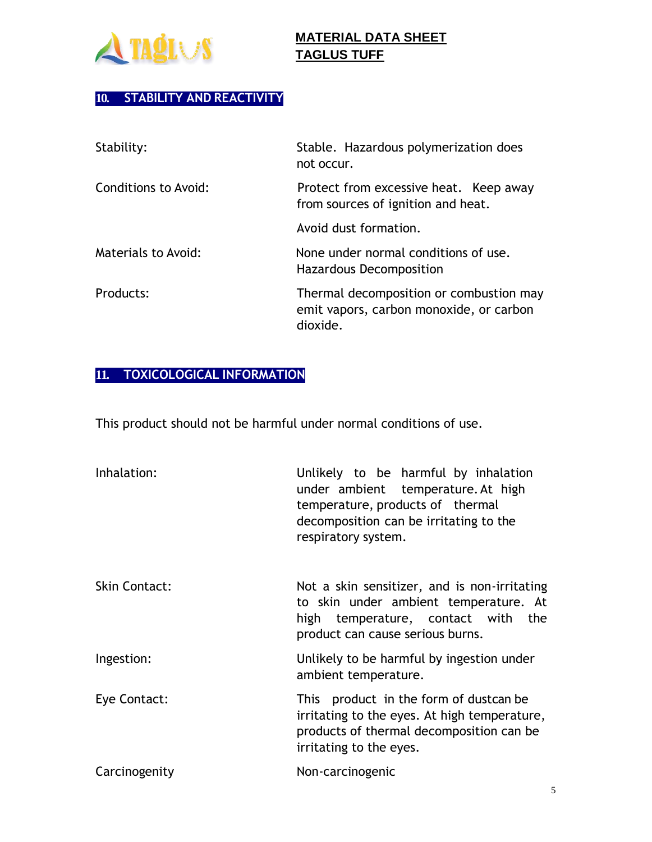

# **10. STABILITY AND REACTIVITY**

| Stability:           | Stable. Hazardous polymerization does<br>not occur.                                            |
|----------------------|------------------------------------------------------------------------------------------------|
| Conditions to Avoid: | Protect from excessive heat. Keep away<br>from sources of ignition and heat.                   |
|                      | Avoid dust formation.                                                                          |
| Materials to Avoid:  | None under normal conditions of use.<br>Hazardous Decomposition                                |
| Products:            | Thermal decomposition or combustion may<br>emit vapors, carbon monoxide, or carbon<br>dioxide. |

# **11. TOXICOLOGICAL INFORMATION**

This product should not be harmful under normal conditions of use.

| Inhalation:          | Unlikely to be harmful by inhalation<br>under ambient temperature. At high<br>temperature, products of thermal<br>decomposition can be irritating to the<br>respiratory system. |
|----------------------|---------------------------------------------------------------------------------------------------------------------------------------------------------------------------------|
| <b>Skin Contact:</b> | Not a skin sensitizer, and is non-irritating<br>to skin under ambient temperature. At<br>high temperature, contact with the<br>product can cause serious burns.                 |
| Ingestion:           | Unlikely to be harmful by ingestion under<br>ambient temperature.                                                                                                               |
| Eye Contact:         | This product in the form of dustcan be<br>irritating to the eyes. At high temperature,<br>products of thermal decomposition can be<br>irritating to the eyes.                   |
| Carcinogenity        | Non-carcinogenic                                                                                                                                                                |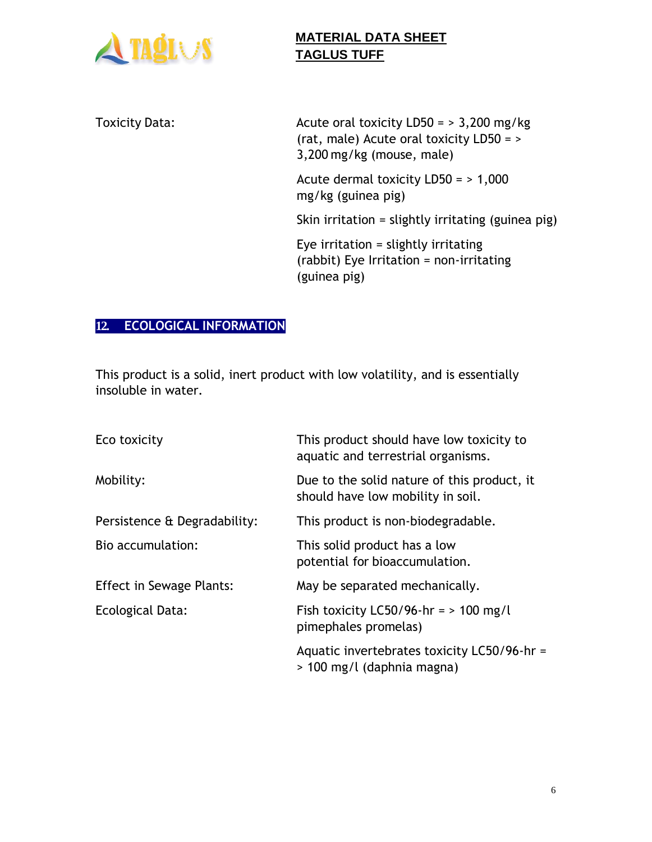

Toxicity Data:  $\frac{1}{2}$  Acute oral toxicity LD50 = > 3,200 mg/kg (rat, male) Acute oral toxicity LD50 = > 3,200 mg/kg (mouse, male) Acute dermal toxicity LD50 = > 1,000 mg/kg (guinea pig) Skin irritation = slightly irritating (guinea pig) Eye irritation = slightly irritating (rabbit) Eye Irritation = non-irritating (guinea pig)

## **12. ECOLOGICAL INFORMATION**

This product is a solid, inert product with low volatility, and is essentially insoluble in water.

| Eco toxicity                    | This product should have low toxicity to<br>aquatic and terrestrial organisms.   |
|---------------------------------|----------------------------------------------------------------------------------|
| Mobility:                       | Due to the solid nature of this product, it<br>should have low mobility in soil. |
| Persistence & Degradability:    | This product is non-biodegradable.                                               |
| Bio accumulation:               | This solid product has a low<br>potential for bioaccumulation.                   |
| <b>Effect in Sewage Plants:</b> | May be separated mechanically.                                                   |
| Ecological Data:                | Fish toxicity LC50/96-hr = $> 100$ mg/l<br>pimephales promelas)                  |
|                                 | Aquatic invertebrates toxicity LC50/96-hr =<br>> 100 mg/l (daphnia magna)        |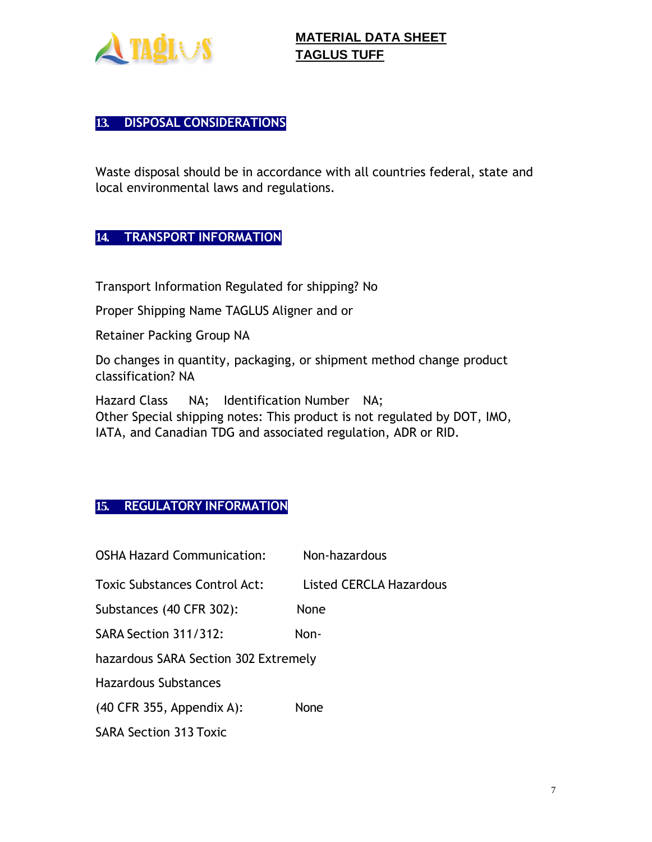

### **13. DISPOSAL CONSIDERATIONS**

Waste disposal should be in accordance with all countries federal, state and local environmental laws and regulations.

#### **14. TRANSPORT INFORMATION**

Transport Information Regulated for shipping? No

Proper Shipping Name TAGLUS Aligner and or

Retainer Packing Group NA

Do changes in quantity, packaging, or shipment method change product classification? NA

Hazard Class NA; Identification Number NA; Other Special shipping notes: This product is not regulated by DOT, IMO, IATA, and Canadian TDG and associated regulation, ADR or RID.

### **15. REGULATORY INFORMATION**

| <b>OSHA Hazard Communication:</b>    | Non-hazardous           |
|--------------------------------------|-------------------------|
| <b>Toxic Substances Control Act:</b> | Listed CERCLA Hazardous |
| Substances (40 CFR 302):             | None                    |
| SARA Section 311/312:                | Non-                    |
| hazardous SARA Section 302 Extremely |                         |
| <b>Hazardous Substances</b>          |                         |
| $(40$ CFR 355, Appendix A):          | None                    |
| <b>SARA Section 313 Toxic</b>        |                         |